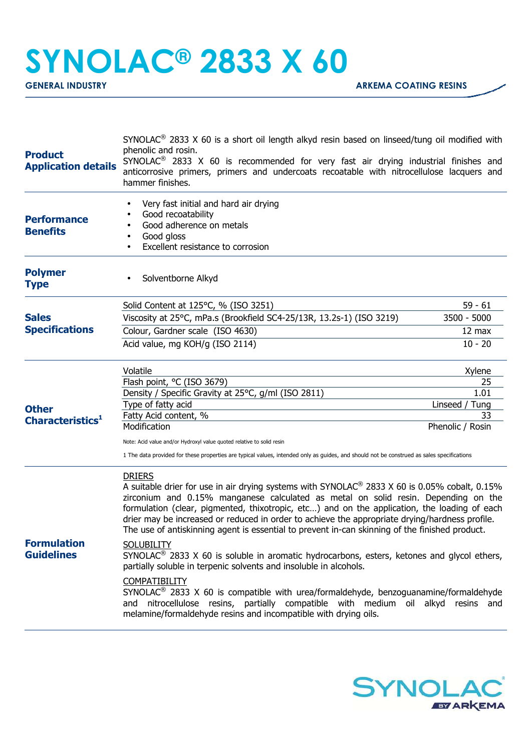## **SYNOLAC® 2833 X 60**

| <b>Product</b><br><b>Application details</b>        | SYNOLAC <sup>®</sup> 2833 X 60 is a short oil length alkyd resin based on linseed/tung oil modified with<br>phenolic and rosin.<br>SYNOLAC <sup>®</sup> 2833 X 60 is recommended for very fast air drying industrial finishes and<br>anticorrosive primers, primers and undercoats recoatable with nitrocellulose lacquers and<br>hammer finishes.                                                                                                                                                                                                                                                                                                                                                                                                                                                                                                                                                                                                                                                          |                   |
|-----------------------------------------------------|-------------------------------------------------------------------------------------------------------------------------------------------------------------------------------------------------------------------------------------------------------------------------------------------------------------------------------------------------------------------------------------------------------------------------------------------------------------------------------------------------------------------------------------------------------------------------------------------------------------------------------------------------------------------------------------------------------------------------------------------------------------------------------------------------------------------------------------------------------------------------------------------------------------------------------------------------------------------------------------------------------------|-------------------|
| <b>Performance</b><br><b>Benefits</b>               | Very fast initial and hard air drying<br>Good recoatability<br>Good adherence on metals<br>Good gloss<br>Excellent resistance to corrosion                                                                                                                                                                                                                                                                                                                                                                                                                                                                                                                                                                                                                                                                                                                                                                                                                                                                  |                   |
| <b>Polymer</b><br><b>Type</b>                       | Solventborne Alkyd                                                                                                                                                                                                                                                                                                                                                                                                                                                                                                                                                                                                                                                                                                                                                                                                                                                                                                                                                                                          |                   |
|                                                     | Solid Content at 125°C, % (ISO 3251)                                                                                                                                                                                                                                                                                                                                                                                                                                                                                                                                                                                                                                                                                                                                                                                                                                                                                                                                                                        | $59 - 61$         |
| <b>Sales</b><br><b>Specifications</b>               | Viscosity at 25°C, mPa.s (Brookfield SC4-25/13R, 13.2s-1) (ISO 3219)                                                                                                                                                                                                                                                                                                                                                                                                                                                                                                                                                                                                                                                                                                                                                                                                                                                                                                                                        | 3500 - 5000       |
|                                                     | Colour, Gardner scale (ISO 4630)                                                                                                                                                                                                                                                                                                                                                                                                                                                                                                                                                                                                                                                                                                                                                                                                                                                                                                                                                                            | 12 max            |
|                                                     | Acid value, mg KOH/g (ISO 2114)                                                                                                                                                                                                                                                                                                                                                                                                                                                                                                                                                                                                                                                                                                                                                                                                                                                                                                                                                                             | $10 - 20$         |
|                                                     | Volatile                                                                                                                                                                                                                                                                                                                                                                                                                                                                                                                                                                                                                                                                                                                                                                                                                                                                                                                                                                                                    | Xylene            |
|                                                     | Flash point, °C (ISO 3679)                                                                                                                                                                                                                                                                                                                                                                                                                                                                                                                                                                                                                                                                                                                                                                                                                                                                                                                                                                                  | 25<br>1.01        |
| <b>Other</b><br><b>Characteristics</b> <sup>1</sup> | Density / Specific Gravity at 25°C, g/ml (ISO 2811)<br>Type of fatty acid                                                                                                                                                                                                                                                                                                                                                                                                                                                                                                                                                                                                                                                                                                                                                                                                                                                                                                                                   | Linseed /<br>Tung |
|                                                     | Fatty Acid content, %                                                                                                                                                                                                                                                                                                                                                                                                                                                                                                                                                                                                                                                                                                                                                                                                                                                                                                                                                                                       | 33                |
|                                                     | Modification                                                                                                                                                                                                                                                                                                                                                                                                                                                                                                                                                                                                                                                                                                                                                                                                                                                                                                                                                                                                | Phenolic / Rosin  |
|                                                     | Note: Acid value and/or Hydroxyl value quoted relative to solid resin                                                                                                                                                                                                                                                                                                                                                                                                                                                                                                                                                                                                                                                                                                                                                                                                                                                                                                                                       |                   |
|                                                     | 1 The data provided for these properties are typical values, intended only as guides, and should not be construed as sales specifications                                                                                                                                                                                                                                                                                                                                                                                                                                                                                                                                                                                                                                                                                                                                                                                                                                                                   |                   |
| <b>Formulation</b><br><b>Guidelines</b>             | <b>DRIERS</b><br>A suitable drier for use in air drying systems with SYNOLAC <sup>®</sup> 2833 X 60 is 0.05% cobalt, 0.15%<br>zirconium and 0.15% manganese calculated as metal on solid resin. Depending on the<br>formulation (clear, pigmented, thixotropic, etc) and on the application, the loading of each<br>drier may be increased or reduced in order to achieve the appropriate drying/hardness profile.<br>The use of antiskinning agent is essential to prevent in-can skinning of the finished product.<br><b>SOLUBILITY</b><br>SYNOLAC <sup>®</sup> 2833 X 60 is soluble in aromatic hydrocarbons, esters, ketones and glycol ethers,<br>partially soluble in terpenic solvents and insoluble in alcohols.<br><b>COMPATIBILITY</b><br>SYNOLAC <sup>®</sup> 2833 X 60 is compatible with urea/formaldehyde, benzoguanamine/formaldehyde<br>and nitrocellulose resins, partially compatible with medium oil alkyd resins and<br>melamine/formaldehyde resins and incompatible with drying oils. |                   |